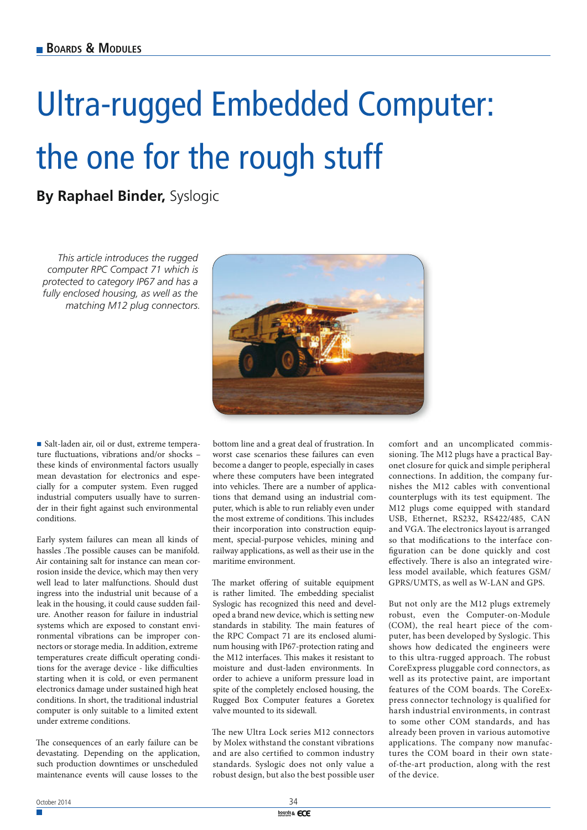## Ultra-rugged Embedded Computer: the one for the rough stuff

**By Raphael Binder,** Syslogic

*This article introduces the rugged computer RPC Compact 71 which is protected to category IP67 and has a fully enclosed housing, as well as the matching M12 plug connectors.*



Salt-laden air, oil or dust, extreme temperature fluctuations, vibrations and/or shocks these kinds of environmental factors usually mean devastation for electronics and especially for a computer system. Even rugged industrial computers usually have to surrender in their fight against such environmental conditions.

Early system failures can mean all kinds of hassles .The possible causes can be manifold. Air containing salt for instance can mean corrosion inside the device, which may then very well lead to later malfunctions. Should dust ingress into the industrial unit because of a leak in the housing, it could cause sudden failure. Another reason for failure in industrial systems which are exposed to constant environmental vibrations can be improper connectors or storage media. In addition, extreme temperatures create difficult operating conditions for the average device - like difficulties starting when it is cold, or even permanent electronics damage under sustained high heat conditions. In short, the traditional industrial computer is only suitable to a limited extent under extreme conditions.

The consequences of an early failure can be devastating. Depending on the application, such production downtimes or unscheduled maintenance events will cause losses to the

bottom line and a great deal of frustration. In worst case scenarios these failures can even become a danger to people, especially in cases where these computers have been integrated into vehicles. There are a number of applications that demand using an industrial computer, which is able to run reliably even under the most extreme of conditions. This includes their incorporation into construction equipment, special-purpose vehicles, mining and railway applications, as well as their use in the maritime environment.

The market offering of suitable equipment is rather limited. The embedding specialist Syslogic has recognized this need and developed a brand new device, which is setting new standards in stability. The main features of the RPC Compact 71 are its enclosed aluminum housing with IP67-protection rating and the M12 interfaces. This makes it resistant to moisture and dust-laden environments. In order to achieve a uniform pressure load in spite of the completely enclosed housing, the Rugged Box Computer features a Goretex valve mounted to its sidewall.

The new Ultra Lock series M12 connectors by Molex withstand the constant vibrations and are also certified to common industry standards. Syslogic does not only value a robust design, but also the best possible user comfort and an uncomplicated commissioning. The M12 plugs have a practical Bayonet closure for quick and simple peripheral connections. In addition, the company furnishes the M12 cables with conventional counterplugs with its test equipment. The M12 plugs come equipped with standard USB, Ethernet, RS232, RS422/485, CAN and VGA. The electronics layout is arranged so that modifications to the interface configuration can be done quickly and cost effectively. There is also an integrated wireless model available, which features GSM/ GPRS/UMTS, as well as W-LAN and GPS.

But not only are the M12 plugs extremely robust, even the Computer-on-Module (COM), the real heart piece of the computer, has been developed by Syslogic. This shows how dedicated the engineers were to this ultra-rugged approach. The robust CoreExpress pluggable cord connectors, as well as its protective paint, are important features of the COM boards. The CoreExpress connector technology is qualified for harsh industrial environments, in contrast to some other COM standards, and has already been proven in various automotive applications. The company now manufactures the COM board in their own stateof-the-art production, along with the rest of the device.